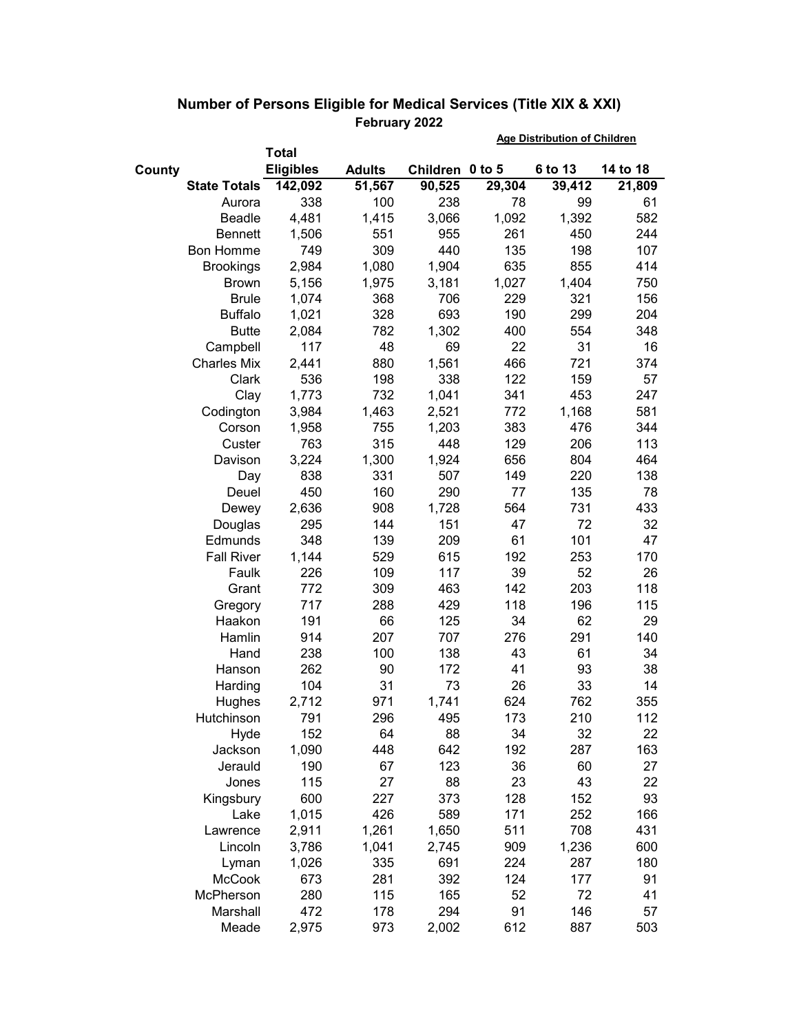|        |                     |                  |               |                 | <b>Age Distribution of Children</b> |         |          |  |
|--------|---------------------|------------------|---------------|-----------------|-------------------------------------|---------|----------|--|
|        |                     | <b>Total</b>     |               |                 |                                     |         |          |  |
| County |                     | <b>Eligibles</b> | <b>Adults</b> | Children 0 to 5 |                                     | 6 to 13 | 14 to 18 |  |
|        | <b>State Totals</b> | 142,092          | 51,567        | 90,525          | 29,304                              | 39,412  | 21,809   |  |
|        | Aurora              | 338              | 100           | 238             | 78                                  | 99      | 61       |  |
|        | Beadle              | 4,481            | 1,415         | 3,066           | 1,092                               | 1,392   | 582      |  |
|        | <b>Bennett</b>      | 1,506            | 551           | 955             | 261                                 | 450     | 244      |  |
|        | <b>Bon Homme</b>    | 749              | 309           | 440             | 135                                 | 198     | 107      |  |
|        | <b>Brookings</b>    | 2,984            | 1,080         | 1,904           | 635                                 | 855     | 414      |  |
|        | <b>Brown</b>        | 5,156            | 1,975         | 3,181           | 1,027                               | 1,404   | 750      |  |
|        | <b>Brule</b>        | 1,074            | 368           | 706             | 229                                 | 321     | 156      |  |
|        | <b>Buffalo</b>      | 1,021            | 328           | 693             | 190                                 | 299     | 204      |  |
|        | <b>Butte</b>        | 2,084            | 782           | 1,302           | 400                                 | 554     | 348      |  |
|        | Campbell            | 117              | 48            | 69              | 22                                  | 31      | 16       |  |
|        | <b>Charles Mix</b>  | 2,441            | 880           | 1,561           | 466                                 | 721     | 374      |  |
|        | Clark               | 536              | 198           | 338             | 122                                 | 159     | 57       |  |
|        | Clay                | 1,773            | 732           | 1,041           | 341                                 | 453     | 247      |  |
|        | Codington           | 3,984            | 1,463         | 2,521           | 772                                 | 1,168   | 581      |  |
|        | Corson              | 1,958            | 755           | 1,203           | 383                                 | 476     | 344      |  |
|        | Custer              | 763              | 315           | 448             | 129                                 | 206     | 113      |  |
|        | Davison             | 3,224            | 1,300         | 1,924           | 656                                 | 804     | 464      |  |
|        | Day                 | 838              | 331           | 507             | 149                                 | 220     | 138      |  |
|        | Deuel               | 450              | 160           | 290             | 77                                  | 135     | 78       |  |
|        | Dewey               | 2,636            | 908           | 1,728           | 564                                 | 731     | 433      |  |
|        | Douglas             | 295              | 144           | 151             | 47                                  | 72      | 32       |  |
|        | Edmunds             | 348              | 139           | 209             | 61                                  | 101     | 47       |  |
|        | <b>Fall River</b>   | 1,144            | 529           | 615             | 192                                 | 253     | 170      |  |
|        | Faulk               | 226              | 109           | 117             | 39                                  | 52      | 26       |  |
|        | Grant               | 772              | 309           | 463             | 142                                 | 203     | 118      |  |
|        | Gregory             | 717              | 288           | 429             | 118                                 | 196     | 115      |  |
|        | Haakon              | 191              | 66            | 125             | 34                                  | 62      | 29       |  |
|        | Hamlin              | 914              | 207           | 707             | 276                                 | 291     | 140      |  |
|        | Hand                | 238              | 100           | 138             | 43                                  | 61      | 34       |  |
|        | Hanson              | 262              | 90            | 172             | 41                                  | 93      | 38       |  |
|        | Harding             | 104              | 31            | 73              | 26                                  | 33      | 14       |  |
|        | Hughes              | 2,712            | 971           | 1,741           | 624                                 | 762     | 355      |  |
|        | Hutchinson          | 791              | 296           | 495             | 173                                 | 210     | 112      |  |
|        | Hyde                | 152              | 64            | 88              | 34                                  | 32      | 22       |  |
|        | Jackson             | 1,090            | 448           | 642             | 192                                 | 287     | 163      |  |
|        | Jerauld             | 190              | 67            | 123             | 36                                  | 60      | 27       |  |
|        | Jones               | 115              | 27            | 88              | 23                                  | 43      | 22       |  |
|        | Kingsbury           | 600              | 227           | 373             | 128                                 | 152     | 93       |  |
|        | Lake                | 1,015            | 426           | 589             | 171                                 | 252     | 166      |  |
|        | Lawrence            | 2,911            | 1,261         | 1,650           | 511                                 | 708     | 431      |  |
|        | Lincoln             | 3,786            | 1,041         | 2,745           | 909                                 | 1,236   | 600      |  |
|        | Lyman               | 1,026            | 335           | 691             | 224                                 | 287     | 180      |  |
|        | <b>McCook</b>       | 673              | 281           | 392             | 124                                 | 177     | 91       |  |
|        | McPherson           | 280              | 115           | 165             | 52                                  | 72      | 41       |  |
|        | Marshall            | 472              | 178           | 294             | 91                                  | 146     | 57       |  |
|        | Meade               | 2,975            | 973           | 2,002           | 612                                 | 887     | 503      |  |

## **Number of Persons Eligible for Medical Services (Title XIX & XXI) February 2022**